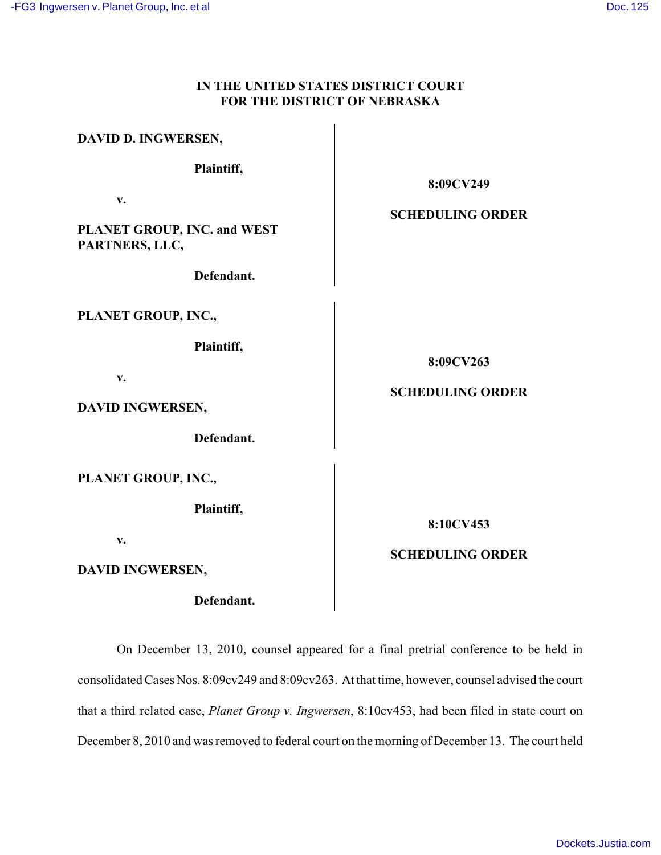# **IN THE UNITED STATES DISTRICT COURT FOR THE DISTRICT OF NEBRASKA**

| DAVID D. INGWERSEN,                                                           |                                      |
|-------------------------------------------------------------------------------|--------------------------------------|
| Plaintiff,                                                                    | 8:09CV249                            |
| $\mathbf{v}$ .<br>PLANET GROUP, INC. and WEST<br>PARTNERS, LLC,<br>Defendant. | <b>SCHEDULING ORDER</b>              |
| PLANET GROUP, INC.,<br>Plaintiff,<br>v.<br>DAVID INGWERSEN,<br>Defendant.     | 8:09CV263<br><b>SCHEDULING ORDER</b> |
| PLANET GROUP, INC.,<br>Plaintiff,<br>$V_{\bullet}$<br>DAVID INGWERSEN,        | 8:10CV453<br><b>SCHEDULING ORDER</b> |

# **Defendant.**

On December 13, 2010, counsel appeared for a final pretrial conference to be held in consolidated Cases Nos. 8:09cv249 and 8:09cv263. At that time, however, counsel advised the court that a third related case, *Planet Group v. Ingwersen*, 8:10cv453, had been filed in state court on December 8, 2010 and was removed to federal court on the morning of December 13. The court held